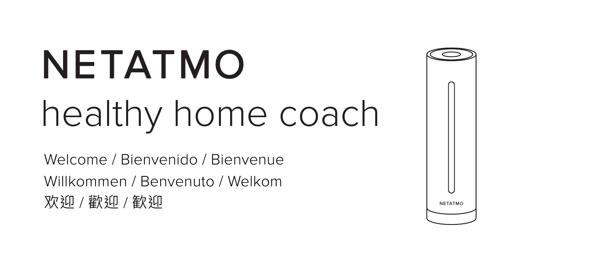# **NETATMO** healthy home coach

Welcome / Bienvenido / Bienvenue Willkommen / Benvenuto / Welkom 欢如 / 歡抑 / 歓抑

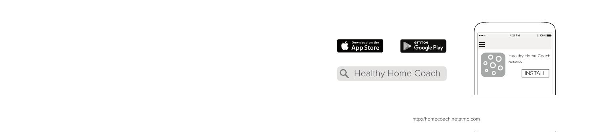



### Q Healthy Home Coach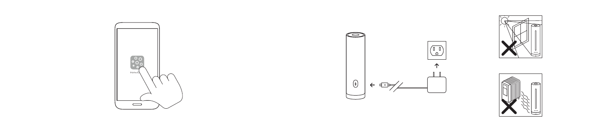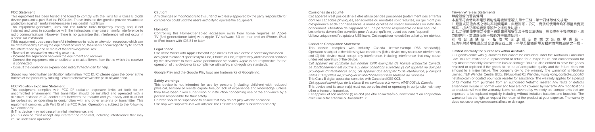#### FCC Statement

This equipment has been tested and found to comply with the limits for a Class B digital device, pursuant to part 15 of the FCC rules. These limits are designed to provide reasonable protection against harmful interference in a residential installation.

This equipment generates, uses and can radiate radio frequency energy and, if not installed and used in accordance with the instructions, may cause harmful interference to radio communications. However, there is no guarantee that interference will not occur in a particular installation.

lf this equipment does cause harmful interference to radio or television reception, which can be determined by turning the equipment off and on, the user is encouraged to try to correct the interference by one or more of the following measures:

- Reorient or relocate the receiving antenna.
- Increase the separation between the equipment and receiver.
- Connect the equipment into an outlet on a circuit different from that to which the receiver is connected.
- Consult the dealer or an experienced radio/TV technician for help.

Should you need further certification information (FCC ID, IC) please open the cover at the bottom of the product by rotating it counterclockwise with the palm of your hand.

#### FCC Radiation Exposure Statement

This equipment complies with FCC RF radiation exposure limits set forth for an uncontrolled environment. This transmitter should be installed and operated with a minimum distance of 20 centimeters between the radiator and your body and must not be co-located or operating in conjunction with any other antenna or transmitter. This equipment complies with Part 15 of the FCC Rules. Operation is subject to the following two conditions:

(1) This device may not cause harmful interference, and

(2) This device must accept any interference received, including interference that may cause undesired operation.

#### Caution!

Any changes or modifications to this unit not expressly approved by the party responsible for compliance could void the user's authority to operate the equipment.

#### HomeKit

Controlling this HomeKit-enabled accessory away from home requires an Apple TV (3rd generationor later) with Apple TV software 7.0 or later and an iPhone, iPad, or iPod touch with iOS 8.1 or later.

#### Legal notice

Use of the Works with Apple HomeKit logo means that an electronic accessory has been designed to connect specifically to iPod, iPhone, or iPad, respectively, and has been certified by the developer to meet Apple performance standards. Apple is not responsible for the operation of this device or its compliance with safety and regulatory standards.

Google Play and the Google Play logo are trademarks of Google Inc.

#### Safety warnings

This device is not intended for use by persons (including children) with reduced physical, sensory or mental capabilities, or lack of experience and knowledge, unless they have been given supervision or instruction concerning use of the appliance by a person responsible for their safety.

Children should be supervised to ensure that they do not play with the appliance. Use only with supplied USB wall adaptor. The USB wall adaptor is for indoor use only.

#### Consignes de sécurité

Cet appareil n'est pas destiné à être utilisé par des personnes (notamment des enfants) dont les capacités physiques, sensorielles ou mentales sont réduites, ou qui n'ont pas d'expérience et de connaissances, à moins qu'elles ne soient surveillées ou instruites concernant l'utilisation de l'appareil par une personne responsable de leur sécurité. Les enfants doivent être surveillés pour s'assurer qu'ils ne jouent pas avec l'appareil. Utilisez uniquement l'adaptateur USB fourni. Cet adaptateur ne doit être utilisé qu'en intérieur.

#### Canadian Compliance Statement

This device complies with Industry Canada license-exempt RSS standard(s). Operation is subject to the following two conditions: (1) this device may not cause interference, and (2) this device must accept any interference, including interference that may cause undesired operation of the device.

Cet appareil est conforme aux normes CNR exemptes de licence d'Industrie Canada. Le fonctionnement est soumis aux deux conditions suivantes: (1) cet appareil ne doit pas provoquer d'interférences et (2) cet appareil doit accepter toute interférence, y compris celles susceptibles de provoquer un fonctionnement non souhaité de l'appareil.

This Class B digital apparatus complies with Canadian ICES-003.

Cet appareil numérique de la classe B est conforme à la norme NMB-003 du Canada. This device and its antenna(s) must not be co-located or operating in conjunction with any other antenna or transmitter.

Cet appareil et son antenne (s) ne doit pas être co-localisés ou fonctionnant en conjonction avec une autre antenne ou transmetteur.

#### Taiwan Wireless Statements 無線設備的警告擊阳 本產品符合低功率電波輻射性電機管理辦法 第十二條、第十四條等條文規定: 1. 經型式認證合格之低功率射頻電機,非經許可,公司、商號或使用者均不得擅自變更 頻率、加大功率或變更原設計之特性及功能。 2. 低功率射頻電機之使用不得影響飛航安全及干擾合法通信;經發現有干擾現象時,應 立即停用,並改善至無干擾時方得繼續使用。 前項合法通信,指依電信法規定作業之無線電通信。 低功率射頻電機須忍受合法通信或工業、科學及醫療用電波輻射性電機設備之干擾。

#### Limited warranty for purchases within Australia.

Our goods come with guarantees that cannot be excluded under the Australian Consumer Law. You are entitled to a replacement or refund for a major failure and compensation for any other reasonably foreseeable loss or damage. You are also entitled to have the goods repaired or replaced if the goods fail to be of acceptable quality and the failure does not amount to a major failure. The company giving the warranty (the warrantor) is Netatmo Limited., 18/F Wanchai Central Bldg., 89 Lockhart Rd, Wanchai, Hong Kong, contact-support@ netatmo.com or contact your local reseller for assistance. The warranty applies for a period of 12 months from purchase from an authorised Netatmo reseller. Any faults or defects arisen from misuse or normal wear and tear are not covered by warranty. Any modifications to products will void the warranty. Items not covered by warranty are components that are expected to be replaced regularly, including without limitation: batteries and bracelets. The warrantor has the right to request the return of the product at your expense. The warranty does not cover any consequential loss or damage.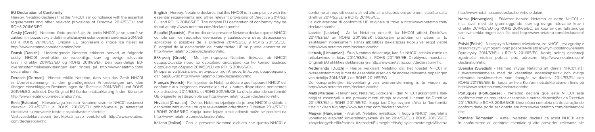#### EU Declaration of Conformity

Hereby, Netatmo declares that this NHC01 is in compliance with the essential requirements and other relevant provisions of Directive 2014/53/EU and ROHS 2011/65/EC.

Česky [Czech] - Netatmo tímto prohlašuje, že tento NHC01 je ve shodě se základními požadavky a dalšími příslušnými ustanoveními směrnice 2014/53/ EU a ROHS 2011/65/ES. Originál EU prohlášení o shodě lze nalézt na http://www.netatmo.com/declaration/nhc.

Dansk [Danish] - Undertegnede Netatmo erklærer herved, at følgende udstyr NHC01 overholder de væsentlige krav og øvrige relevante krav i direktiv 2014/53/EU og ROHS 2011/65/EF. Den oprindelige EUoverensstemmelseserklæringen kan findes på http://www.netatmo.com/ declaration/nhc.

Deutsch [German] - Hiermit erklärt Netatmo, dass sich das Gerät NHC01 in Übereinstimmung mit den grundlegenden Anforderungen und den übrigen einschlägigen Bestimmungen der Richtlinie 2014/53/EU und ROHS 2011/65/EG befindet. Die Original-EU-Konformitätserklärung finden Sie unter http://www.netatmo.com/declaration/nhc.

Eesti [Estonian] - Käesolevaga kinnitab Netatmo seadme NHC01 vastavust direktiivi 2014/53/EU ja ROHS 2011/65/EÜ põhinõuetele ja nimetatud direktiivist tulenevatele teistele asjakohastele sätetele.

Vastavusdeklaratsiooni tervikteksti saab veebilehelt http://www.netatmo. com/declaration/nhc.

English - Hereby, Netatmo declares that this NHC01 is in compliance with the essential requirements and other relevant provisions of Directive 2014/53/ EU and ROHS 2011/65/EC. The original EU declaration of conformity may be found at http://www.netatmo.com/declaration/nhc.

Español [Spanish] - Por medio de la presente Netatmo declara que el NHC01 cumple con los requisitos esenciales y cualesquiera otras disposiciones aplicables o exigibles de la Directiva 2014/53/EU y ROHS 2011/65/CE. El original de la declaración de conformidad UE se puede encontrar en http://www.netatmo.com/declaration/nhc.

Ελληνική [Greek] - Με tην παροyσα Netatmo δηλωνει οtι NHC01 σyμμορφωνεtαι προσ tισ οyσιωδεισ απαιtησεισ και tισ λοιπεσ σxεtικεσ διαtαξεισ tησ οδηγιασ 2014/53/EU και ROHS 2011/65/EK.

Μπορείτε να βρείτε ένα αντίγραφο της πλήρους δήλωσης συμμόρφωσης στη διεύθυνση http://www.netatmo.com/declaration/nhc.

Français [French] - Par la présente Netatmo déclare que l'appareil NHC01 est conforme aux exigences essentielles et aux autres dispositions pertinentes de la directive 2014/53/EU et ROHS 2011/65/CE. La déclaration de conformité UE originelle est disponible sur http://www.netatmo.com/declaration/nhc.

Hrvatski [Croatian] - Ovime, Netatmo izjavljuje da je ovaj NHC01 u skladu s osnovnim zahtjevima i drugim relevantnim odredbama Direktive 2014/53/EU i ROHS 2011/65/EC. Kopija pune Izjave o sukladnosti može se preuzeti na http://www.netatmo.com/declaration/nhc.

Italiano [Italian] - Con la presente Netatmo dichiara che questo NHC01 è

conforme ai requisiti essenziali ed alle altre disposizioni pertinenti stabilite dalla direttiva 2014/53/EU e ROHS 2011/65/CE.

La dichiarazione di conformità UE originale si trova a http://www.netatmo.com/ declaration/nhc.

Latviski [Latvian] - Ar šo Netatmo deklarē, ka NHC01 atbilst Direktīvas 2014/53/EU un ROHS 2011/65/EK būtiskajām prasībām un citiem ar to saistītajiem noteikumiem. Pilnas atbilstības deklarācijas kopiju var iegūt vietnē http://www.netatmo.com/declaration/nhc.

Lietuvių [Lithuanian] - Šiuo Netatmo deklaruoja, kad šis NHC01 atitinka esminius reikalavimus ir kitas 2014/53/EU ir ROHS 2011/65/EB Direktyvos nuostatas. Originali EU atitikties deklaracija yra http://www.netatmo.com/declaration/nhc.

Nederlands [Dutch] - Hierbij verklaart Netatmo dat het toestel NHC01 in overeenstemming is met de essentiële eisen en de andere relevante bepalingen van richtlijn 2014/53/EU en ROHS 2011/65/EG.

De oorspronkelijke EU-verklaring van overeenstemming is te vinden op http://www.netatmo.com/declaration/nhc.

Malti [Maltese] - Hawnhekk, Netatmo, jiddikjara li dan NHC01 jikkonforma malhtigijiet essenziali u ma provvedimenti ohrajn relevanti li hemm fid-Dirrettiva 2014/53/EU u ROHS 2011/65/EC. Kopja tad-Dikjarazzjoni sħiħa ta 'konformità tista' tinkiseb fuq http://www.netatmo.com/declaration/nhc.

Magyar [Hungarian] - Alulírott, Netatmo nyilatkozom, hogy a NHC01 megfelel a vonatkozó alapvetõ követelményeknek és az 2014/53/EU i ROHS 2011/65/EC irányelv egyéb elõírásainak. Az eredeti EU megfelelőségi nyilatkozat megtalálható a http://www.netatmo.com/declaration/nhc oldalon.

Norsk [Norwegian] - Erklærer herved Netatmo at dette NHC01 er i samsvar med de grunnleggende krav og øvrige relevante krav i direktiv 2014/53/EU og ROHS 2011/65/EC. En kopi av den fullstendige samsvarserklæringen kan fås ved http://www.netatmo.com/declaration/ nhc.

Polski [Polish] - Niniejszym Netatmo oświadcza, że NHC01 jest zgodny z zasadniczymi wymogami oraz pozostałymi stosownymi postanowieniami Dyrektywy 2014/53/EU i ROHS 2011/65/EC. Kopię pełnej deklaracji zgodności można pobrać pod adresem http://www.netatmo.com/ declaration/nhc.

Svenska [Swedish] - Härmed intygar Netatmo att denna NHC01 står I överensstämmelse med de väsentliga egenskapskrav och övriga relevanta bestämmelser som framgår av direktiv 2014/53/EU och ROHS 2011/65/EG. En kopia av hela Konformitetsdeklarationen finns på http://www.netatmo.com/declaration/nhc.

Português [Portuguese] - Netatmo declara que este NHC01 está conforme com os requisitos essenciais e outras disposições da Directiva 2014/53/EU e ROHS 2011/65/CE. Uma cópia completa da declaração de conformidade pode ser obtida em http://www.netatmo.com/declaration/ nhc.

Română [Romanian] - Astfel, Netatmo declară că acest NHC01 este în conformitate cu cerințele esențiale și alte prevederi relevante ale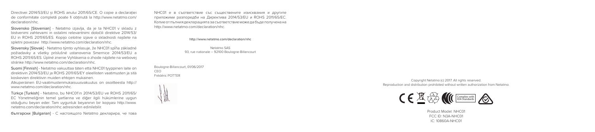Directivei 2014/53/EU și ROHS anului 2011/65/CE. O copie a declarației de conformitate completă poate fi obținută la http://www.netatmo.com/ declaration/nhc.

Slovensko [Slovenian] - Netatmo izjavlja, da je ta NHC01 v skladu z bistvenimi zahtevami in ostalimi relevantnimi določili direktive 2014/53/ EU in ROHS 2011/65/ES. Kopijo celotne izjave o skladnosti najdete na spletni povezavi http://www.netatmo.com/declaration/nhc.

Slovensky [Slovak] - Netatmo týmto vyhlasuje, že NHC01 spĺňa základné požiadavky a všetky príslušné ustanovenia Smernice 2014/53/EU a ROHS 2011/65/ES. Úplné znenie Vyhlásenia o zhode nájdete na webovej stránke http://www.netatmo.com/declaration/nhc.

Suomi [Finnish] - Netatmo vakuuttaa täten että NHC01 tyyppinen laite on direktiivin 2014/53/EU ja ROHS 2011/65/EY oleellisten vaatimusten ja sitä koskevien direktiivin muiden ehtojen mukainen.

Alkuperäinen EU-vaatimustenmukaisuusvakuutus on osoitteesta http:// www.netatmo.com/declaration/nhc.

Türkçe [Turkish] - Netatmo, bu NHC01'in 2014/53/EU ve ROHS 2011/65/ EC Yönetmeliğinin temel şartlarına ve diğer ilgili hükümlerine uygun olduğunu beyan eder. Tam uygunluk beyanının bir kopyası http://www. netatmo.com/declaration/nhc adresinden edinilebilir.

български [Bulgarian] - С настоящото Netatmo декларира, че това

NHC01 е в съответствие със съществените изисквания и другите приложими разпоредби на Директива 2014/53/EU и ROHS 2011/65/ЕC. Копие от пълния декларацията за съответствие може да бъде получена на http://www.netatmo.com/declaration/nhc.

http://www.netatmo.com/declaration/nhc

Netatmo SAS 93, rue nationale – 92100 Boulogne-Billancourt

Boulogne-Billancourt, 01/06/2017 CEO Frédéric POTTER

> Copyright Netatmo (c) 2017. All rights reserved. Reproduction and distribution prohibited without written authorization from Netatmo.



Product Model: NHC01 FCC ID: N3A-NHC01 IC: 10860A-NHC01